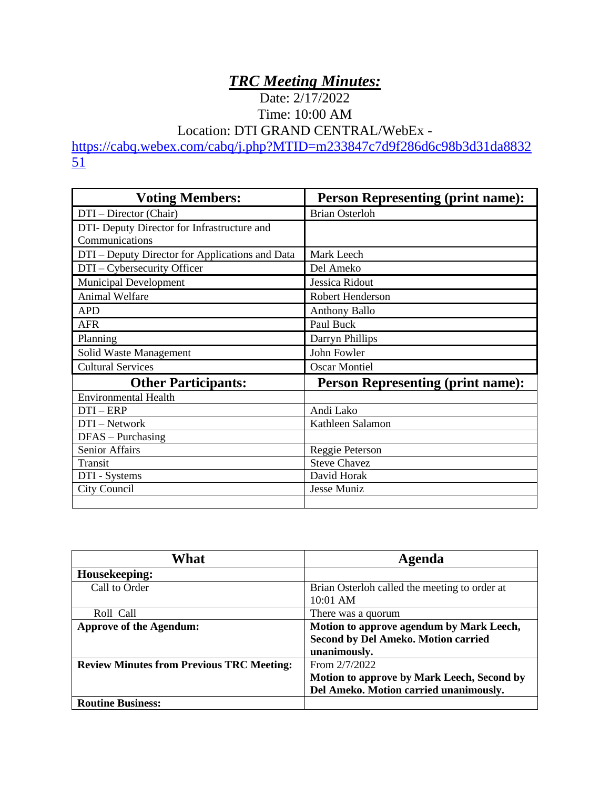## *TRC Meeting Minutes:*

Date: 2/17/2022 Time: 10:00 AM

Location: DTI GRAND CENTRAL/WebEx -

[https://cabq.webex.com/cabq/j.php?MTID=m233847c7d9f286d6c98b3d31da8832](https://cabq.webex.com/cabq/j.php?MTID=m233847c7d9f286d6c98b3d31da883251)  $\overline{51}$  $\overline{51}$  $\overline{51}$ 

| <b>Voting Members:</b>                          | <b>Person Representing (print name):</b> |
|-------------------------------------------------|------------------------------------------|
| DTI – Director (Chair)                          | <b>Brian Osterloh</b>                    |
| DTI- Deputy Director for Infrastructure and     |                                          |
| Communications                                  |                                          |
| DTI – Deputy Director for Applications and Data | Mark Leech                               |
| DTI – Cybersecurity Officer                     | Del Ameko                                |
| <b>Municipal Development</b>                    | Jessica Ridout                           |
| Animal Welfare                                  | Robert Henderson                         |
| <b>APD</b>                                      | <b>Anthony Ballo</b>                     |
| <b>AFR</b>                                      | Paul Buck                                |
| Planning                                        | Darryn Phillips                          |
| Solid Waste Management                          | John Fowler                              |
| <b>Cultural Services</b>                        | <b>Oscar Montiel</b>                     |
| <b>Other Participants:</b>                      | <b>Person Representing (print name):</b> |
| <b>Environmental Health</b>                     |                                          |
| $DTI - ERP$                                     | Andi Lako                                |
| DTI - Network                                   | Kathleen Salamon                         |
| $DFAS - Purchasing$                             |                                          |
| <b>Senior Affairs</b>                           | Reggie Peterson                          |
| Transit                                         | <b>Steve Chavez</b>                      |
| DTI - Systems                                   | David Horak                              |
| City Council                                    | Jesse Muniz                              |
|                                                 |                                          |

| What                                             | Agenda                                        |
|--------------------------------------------------|-----------------------------------------------|
| Housekeeping:                                    |                                               |
| Call to Order                                    | Brian Osterloh called the meeting to order at |
|                                                  | $10:01$ AM                                    |
| Roll Call                                        | There was a quorum                            |
| <b>Approve of the Agendum:</b>                   | Motion to approve agendum by Mark Leech,      |
|                                                  | <b>Second by Del Ameko. Motion carried</b>    |
|                                                  | unanimously.                                  |
| <b>Review Minutes from Previous TRC Meeting:</b> | From 2/7/2022                                 |
|                                                  | Motion to approve by Mark Leech, Second by    |
|                                                  | Del Ameko. Motion carried unanimously.        |
| <b>Routine Business:</b>                         |                                               |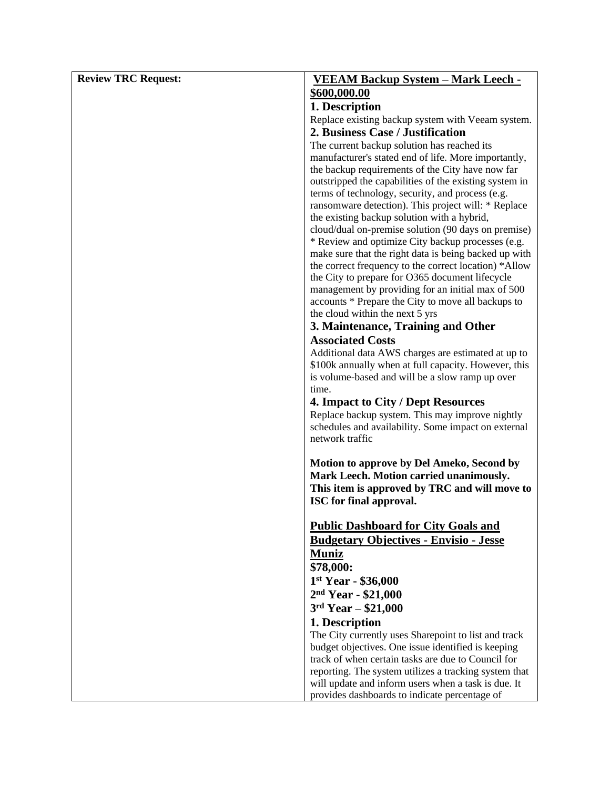| <b>Review TRC Request:</b> | <b>VEEAM Backup System - Mark Leech -</b>                                                               |
|----------------------------|---------------------------------------------------------------------------------------------------------|
|                            | \$600,000.00                                                                                            |
|                            | 1. Description                                                                                          |
|                            | Replace existing backup system with Veeam system.                                                       |
|                            | 2. Business Case / Justification                                                                        |
|                            | The current backup solution has reached its                                                             |
|                            | manufacturer's stated end of life. More importantly,                                                    |
|                            | the backup requirements of the City have now far                                                        |
|                            | outstripped the capabilities of the existing system in                                                  |
|                            | terms of technology, security, and process (e.g.<br>ransomware detection). This project will: * Replace |
|                            | the existing backup solution with a hybrid,                                                             |
|                            | cloud/dual on-premise solution (90 days on premise)                                                     |
|                            | * Review and optimize City backup processes (e.g.                                                       |
|                            | make sure that the right data is being backed up with                                                   |
|                            | the correct frequency to the correct location) *Allow                                                   |
|                            | the City to prepare for O365 document lifecycle                                                         |
|                            | management by providing for an initial max of 500                                                       |
|                            | accounts * Prepare the City to move all backups to<br>the cloud within the next 5 yrs                   |
|                            | 3. Maintenance, Training and Other                                                                      |
|                            | <b>Associated Costs</b>                                                                                 |
|                            | Additional data AWS charges are estimated at up to                                                      |
|                            | \$100k annually when at full capacity. However, this                                                    |
|                            | is volume-based and will be a slow ramp up over                                                         |
|                            | time.                                                                                                   |
|                            | 4. Impact to City / Dept Resources                                                                      |
|                            | Replace backup system. This may improve nightly                                                         |
|                            | schedules and availability. Some impact on external<br>network traffic                                  |
|                            |                                                                                                         |
|                            | Motion to approve by Del Ameko, Second by                                                               |
|                            | Mark Leech. Motion carried unanimously.                                                                 |
|                            | This item is approved by TRC and will move to                                                           |
|                            | ISC for final approval.                                                                                 |
|                            |                                                                                                         |
|                            | <b>Public Dashboard for City Goals and</b>                                                              |
|                            | <b>Budgetary Objectives - Envisio - Jesse</b>                                                           |
|                            | <b>Muniz</b><br>\$78,000:                                                                               |
|                            | $1st Year - $36,000$                                                                                    |
|                            | $2nd Year - $21,000$                                                                                    |
|                            | $3rd Year - $21,000$                                                                                    |
|                            | 1. Description                                                                                          |
|                            | The City currently uses Sharepoint to list and track                                                    |
|                            | budget objectives. One issue identified is keeping                                                      |
|                            | track of when certain tasks are due to Council for                                                      |
|                            | reporting. The system utilizes a tracking system that                                                   |
|                            | will update and inform users when a task is due. It                                                     |
|                            | provides dashboards to indicate percentage of                                                           |